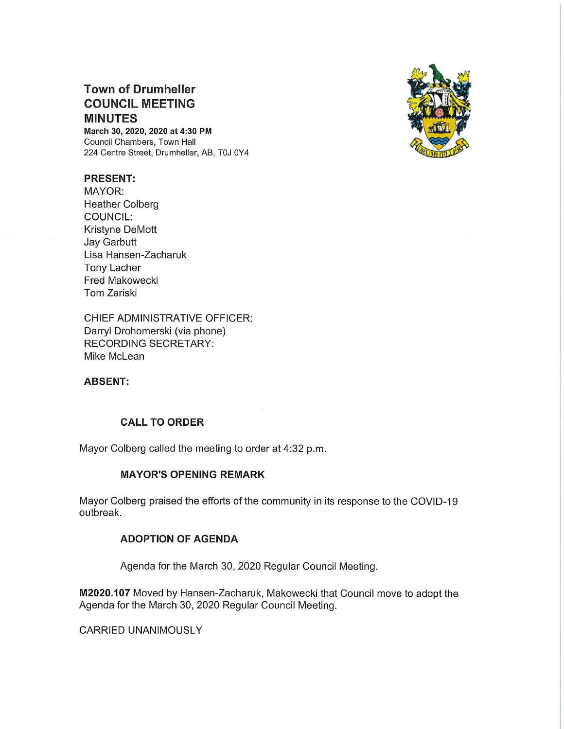# Town of Drumheller COUNCIL MEETING MINUTES

March 30, 2020, 2020 at 4:30 PM Council Chambers, Town Hall 224 Centre Street, Drumheller, AB, TOJ 0Y4

## PRESENT:

MAYOR: Heather Colberg COUNCIL: Kristyne DeMott Jay Garbutt Lisa Hansen—Zacharuk Tony Lacher Fred Makowecki Tom Zariski

CHIEF ADMINISTRATIVE OFFICER: Darryl Drohomerski (via phone) RECORDING SECRETARY: Mike McLean

# ABSENT:

# CALL TO ORDER

Mayor Colberg called the meeting to order at 4:32 p.m.

#### MAYOR'S OPENING REMARK

Mayor Colberg praised the efforts of the community in its response to the COVlD—19 outbreak.

### ADOPTION OF AGENDA

Agenda for the March 30,2020 Regular Council Meeting.

M2020.107 Moved by Hansen—Zacharuk, Makowecki that Council move to adopt the Agenda for the March 30, 2020 Regular Council Meeting.

CARRIED UNANIMOUSLY

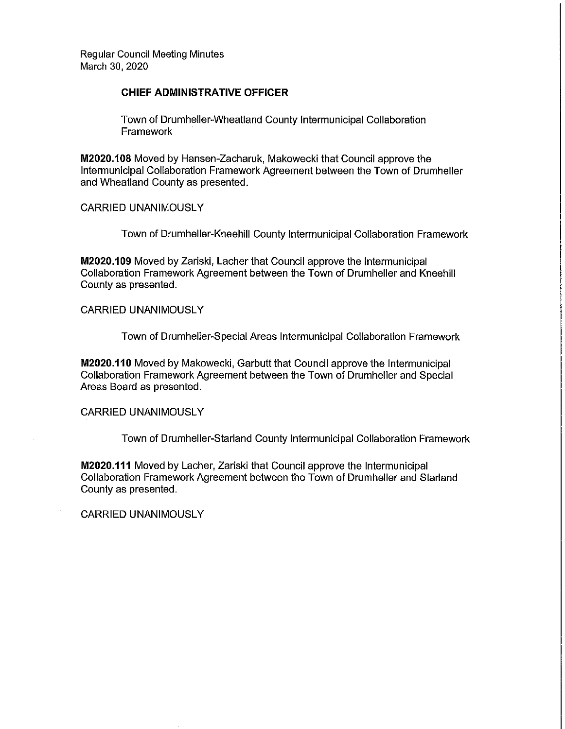Regular Council Meeting Minutes March 30, 2020

#### CHIEF ADMINISTRATIVE OFFICER

Town of Drumheller-Wheatland County Intermunicipal Collaboration Framework

M2020.108 Moved by Hansen-Zacharuk, Makowecki that Council approve the Intermunicipal Collaboration Framework Agreement between the Town of Drumheller and Wheatland County as presented.

CARRIED UNANIMOUSLY

Town of Drumhe||er—Kneehi|| County Intermunicipal Collaboration Framework

M2020.109 Moved by Zariski, Lacher that Council approve the Intermunicipal Collaboration Framework Agreement between the Town of Drumheller and Kneehill County as presented.

CARRIED UNANIMOUSLY

Town of Drumhe|ler—Specia| Areas Intermunicipal Collaboration Framework

M2020.110 Moved by Makowecki, Garbutt that Council approve the Intermunicipal Collaboration Framework Agreement between the Town of Drumheller and Special Areas Board as presented.

CARRIED UNANIMOUSLY

Town of Drumheller-Starland County Intermunicipal Collaboration Framework

M2020.111 Moved by Lacher, Zariski that Council approve the Intermunicipal Collaboration Framework Agreement between the Town of Drumheller and Starland County as presented.

CARRIED UNANIMOUSLY